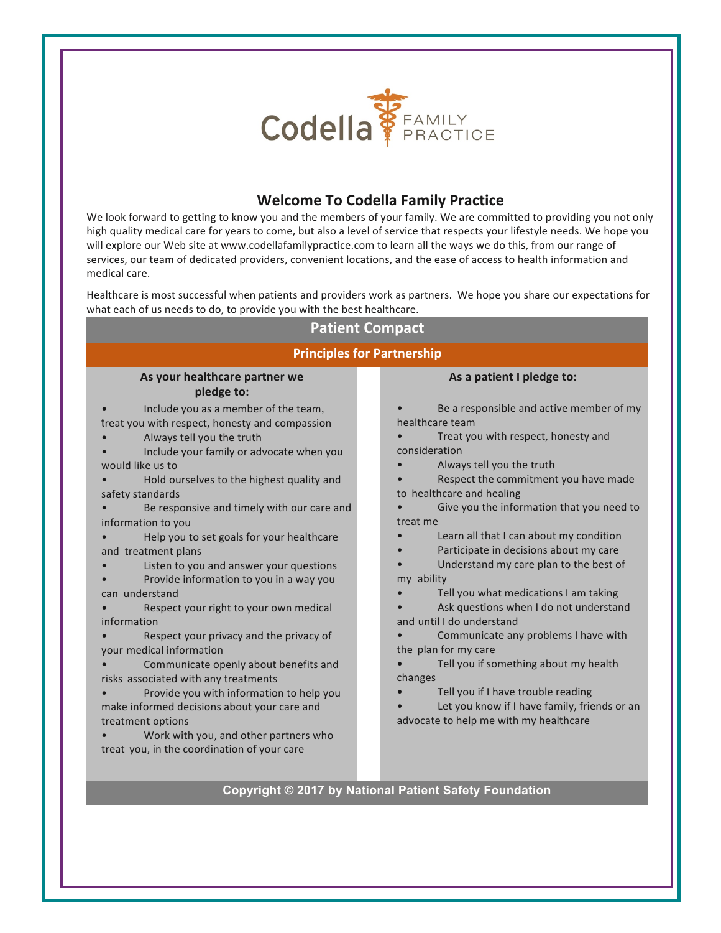

# **Welcome To Codella Family Practice**

We look forward to getting to know you and the members of your family. We are committed to providing you not only high quality medical care for years to come, but also a level of service that respects your lifestyle needs. We hope you will explore our Web site at www.codellafamilypractice.com to learn all the ways we do this, from our range of services, our team of dedicated providers, convenient locations, and the ease of access to health information and medical care.

Healthcare is most successful when patients and providers work as partners. We hope you share our expectations for what each of us needs to do, to provide you with the best healthcare.

| <b>Patient Compact</b>                                                                                                                                                                                                                                                                                                                                                                                                                                                                                                                                                                                                                                                                                                                                                                                                                                                                                                        |                                                                                                                                                                                                                                                                                                                                                                                                                                                                                                                                                                                                                                                                                                                                                                                                 |  |  |  |
|-------------------------------------------------------------------------------------------------------------------------------------------------------------------------------------------------------------------------------------------------------------------------------------------------------------------------------------------------------------------------------------------------------------------------------------------------------------------------------------------------------------------------------------------------------------------------------------------------------------------------------------------------------------------------------------------------------------------------------------------------------------------------------------------------------------------------------------------------------------------------------------------------------------------------------|-------------------------------------------------------------------------------------------------------------------------------------------------------------------------------------------------------------------------------------------------------------------------------------------------------------------------------------------------------------------------------------------------------------------------------------------------------------------------------------------------------------------------------------------------------------------------------------------------------------------------------------------------------------------------------------------------------------------------------------------------------------------------------------------------|--|--|--|
| <b>Principles for Partnership</b>                                                                                                                                                                                                                                                                                                                                                                                                                                                                                                                                                                                                                                                                                                                                                                                                                                                                                             |                                                                                                                                                                                                                                                                                                                                                                                                                                                                                                                                                                                                                                                                                                                                                                                                 |  |  |  |
| As your healthcare partner we<br>pledge to:                                                                                                                                                                                                                                                                                                                                                                                                                                                                                                                                                                                                                                                                                                                                                                                                                                                                                   | As a patient I pledge to:                                                                                                                                                                                                                                                                                                                                                                                                                                                                                                                                                                                                                                                                                                                                                                       |  |  |  |
| Include you as a member of the team,<br>treat you with respect, honesty and compassion<br>Always tell you the truth<br>Include your family or advocate when you<br>would like us to<br>Hold ourselves to the highest quality and<br>safety standards<br>Be responsive and timely with our care and<br>information to you<br>Help you to set goals for your healthcare<br>and treatment plans<br>Listen to you and answer your questions<br>Provide information to you in a way you<br>can understand<br>Respect your right to your own medical<br>information<br>Respect your privacy and the privacy of<br>your medical information<br>Communicate openly about benefits and<br>risks associated with any treatments<br>Provide you with information to help you<br>make informed decisions about your care and<br>treatment options<br>Work with you, and other partners who<br>treat you, in the coordination of your care | Be a responsible and active member of my<br>healthcare team<br>Treat you with respect, honesty and<br>consideration<br>Always tell you the truth<br>Respect the commitment you have made<br>to healthcare and healing<br>Give you the information that you need to<br>treat me<br>Learn all that I can about my condition<br>Participate in decisions about my care<br>Understand my care plan to the best of<br>my ability<br>Tell you what medications I am taking<br>Ask questions when I do not understand<br>and until I do understand<br>Communicate any problems I have with<br>the plan for my care<br>Tell you if something about my health<br>changes<br>Tell you if I have trouble reading<br>Let you know if I have family, friends or an<br>advocate to help me with my healthcare |  |  |  |

**Copyright © 2017 by National Patient Safety Foundation**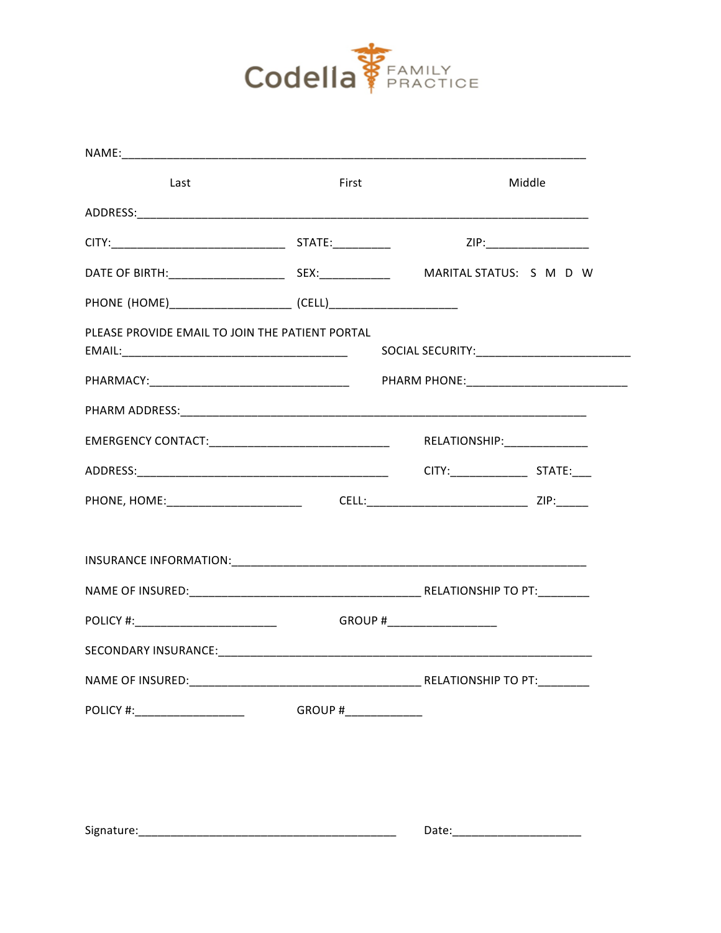

| Last                                            | First | Middle                            |  |
|-------------------------------------------------|-------|-----------------------------------|--|
|                                                 |       |                                   |  |
|                                                 |       | ZIP:______________________        |  |
|                                                 |       |                                   |  |
|                                                 |       |                                   |  |
| PLEASE PROVIDE EMAIL TO JOIN THE PATIENT PORTAL |       | SOCIAL SECURITY: SOCIAL SECURITY: |  |
|                                                 |       |                                   |  |
|                                                 |       |                                   |  |
|                                                 |       |                                   |  |
|                                                 |       |                                   |  |
|                                                 |       |                                   |  |
|                                                 |       |                                   |  |
|                                                 |       |                                   |  |
|                                                 |       | GROUP #_____________________      |  |
|                                                 |       |                                   |  |
|                                                 |       | NAME OF INSURED: NAME OF INSURED: |  |
|                                                 |       |                                   |  |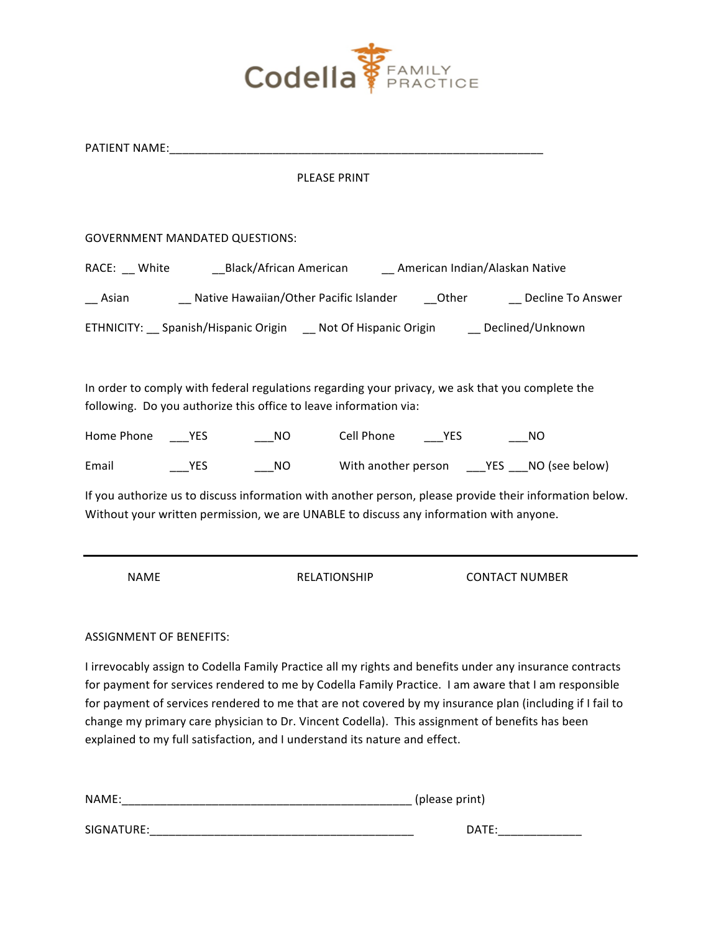

|                                                                                                                                                                                                   |            |                             | PLEASE PRINT                                                                                                                                                          |                       |                                                                                                          |
|---------------------------------------------------------------------------------------------------------------------------------------------------------------------------------------------------|------------|-----------------------------|-----------------------------------------------------------------------------------------------------------------------------------------------------------------------|-----------------------|----------------------------------------------------------------------------------------------------------|
|                                                                                                                                                                                                   |            |                             |                                                                                                                                                                       |                       |                                                                                                          |
| <b>GOVERNMENT MANDATED QUESTIONS:</b>                                                                                                                                                             |            |                             |                                                                                                                                                                       |                       |                                                                                                          |
|                                                                                                                                                                                                   |            |                             | RACE: __ White ___ _____ Black/African American ________ American Indian/Alaskan Native                                                                               |                       |                                                                                                          |
|                                                                                                                                                                                                   |            |                             |                                                                                                                                                                       |                       | __ Asian ________ Native Hawaiian/Other Pacific Islander ______Other _________ Decline To Answer         |
|                                                                                                                                                                                                   |            |                             | ETHNICITY: __ Spanish/Hispanic Origin __ Not Of Hispanic Origin __ Declined/Unknown                                                                                   |                       |                                                                                                          |
|                                                                                                                                                                                                   |            |                             |                                                                                                                                                                       |                       |                                                                                                          |
|                                                                                                                                                                                                   |            |                             | In order to comply with federal regulations regarding your privacy, we ask that you complete the<br>following. Do you authorize this office to leave information via: |                       |                                                                                                          |
| Home Phone YES                                                                                                                                                                                    |            | $\overline{\phantom{0}}$ NO | Cell Phone YES                                                                                                                                                        | NO                    |                                                                                                          |
| Email                                                                                                                                                                                             | <b>YES</b> |                             | ___NO With another person ___YES ___NO (see below)                                                                                                                    |                       |                                                                                                          |
| If you authorize us to discuss information with another person, please provide their information below.<br>Without your written permission, we are UNABLE to discuss any information with anyone. |            |                             |                                                                                                                                                                       |                       |                                                                                                          |
| <b>NAME</b>                                                                                                                                                                                       |            |                             | RELATIONSHIP                                                                                                                                                          | <b>CONTACT NUMBER</b> |                                                                                                          |
| <b>ASSIGNMENT OF BENEFITS:</b>                                                                                                                                                                    |            |                             |                                                                                                                                                                       |                       |                                                                                                          |
|                                                                                                                                                                                                   |            |                             |                                                                                                                                                                       |                       | I irrevocably assign to Codella Family Practice all my rights and benefits under any insurance contracts |

for payment for services rendered to me by Codella Family Practice. I am aware that I am responsible for payment of services rendered to me that are not covered by my insurance plan (including if I fail to change my primary care physician to Dr. Vincent Codella). This assignment of benefits has been explained to my full satisfaction, and I understand its nature and effect.

| <b>NAME</b> | . <b>.</b> .<br>V |
|-------------|-------------------|
|             |                   |

| SIGNATURE<br>. | _ _ __ |
|----------------|--------|
|                |        |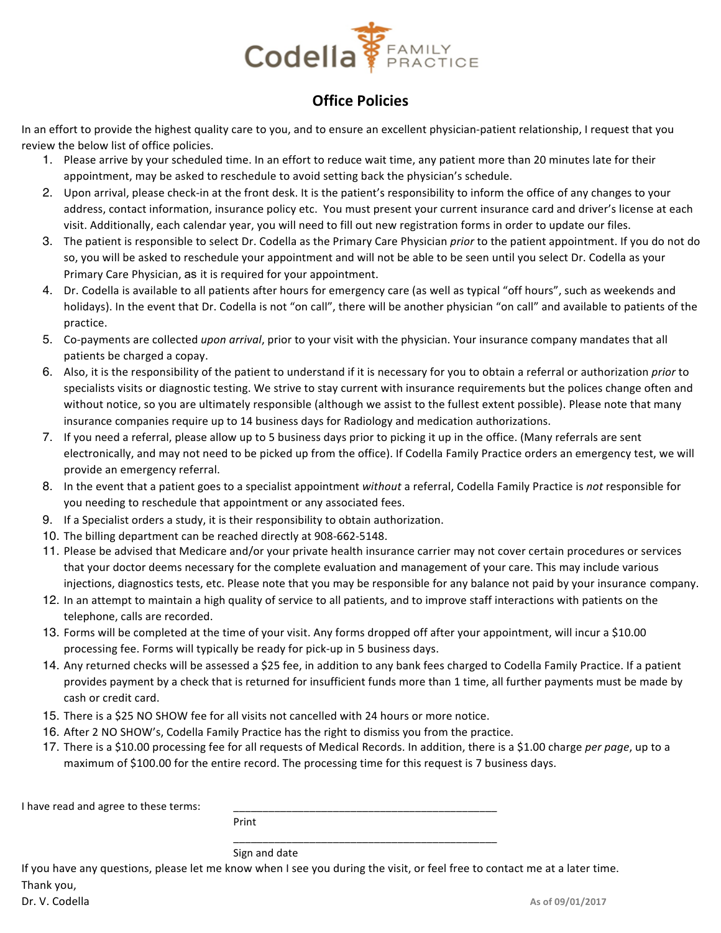

# **Office Policies**

In an effort to provide the highest quality care to you, and to ensure an excellent physician-patient relationship, I request that you review the below list of office policies.

- 1. Please arrive by your scheduled time. In an effort to reduce wait time, any patient more than 20 minutes late for their appointment, may be asked to reschedule to avoid setting back the physician's schedule.
- 2. Upon arrival, please check-in at the front desk. It is the patient's responsibility to inform the office of any changes to your address, contact information, insurance policy etc. You must present your current insurance card and driver's license at each visit. Additionally, each calendar year, you will need to fill out new registration forms in order to update our files.
- 3. The patient is responsible to select Dr. Codella as the Primary Care Physician *prior* to the patient appointment. If you do not do so, you will be asked to reschedule your appointment and will not be able to be seen until you select Dr. Codella as your Primary Care Physician, as it is required for your appointment.
- 4. Dr. Codella is available to all patients after hours for emergency care (as well as typical "off hours", such as weekends and holidays). In the event that Dr. Codella is not "on call", there will be another physician "on call" and available to patients of the practice.
- 5. Co-payments are collected *upon arrival*, prior to your visit with the physician. Your insurance company mandates that all patients be charged a copay.
- 6. Also, it is the responsibility of the patient to understand if it is necessary for you to obtain a referral or authorization *prior* to specialists visits or diagnostic testing. We strive to stay current with insurance requirements but the polices change often and without notice, so you are ultimately responsible (although we assist to the fullest extent possible). Please note that many insurance companies require up to 14 business days for Radiology and medication authorizations.
- 7. If you need a referral, please allow up to 5 business days prior to picking it up in the office. (Many referrals are sent electronically, and may not need to be picked up from the office). If Codella Family Practice orders an emergency test, we will provide an emergency referral.
- 8. In the event that a patient goes to a specialist appointment *without* a referral, Codella Family Practice is *not* responsible for you needing to reschedule that appointment or any associated fees.
- 9. If a Specialist orders a study, it is their responsibility to obtain authorization.
- 10. The billing department can be reached directly at 908-662-5148.
- 11. Please be advised that Medicare and/or your private health insurance carrier may not cover certain procedures or services that your doctor deems necessary for the complete evaluation and management of your care. This may include various injections, diagnostics tests, etc. Please note that you may be responsible for any balance not paid by your insurance company.
- 12. In an attempt to maintain a high quality of service to all patients, and to improve staff interactions with patients on the telephone, calls are recorded.
- 13. Forms will be completed at the time of your visit. Any forms dropped off after your appointment, will incur a \$10.00 processing fee. Forms will typically be ready for pick-up in 5 business days.
- 14. Any returned checks will be assessed a \$25 fee, in addition to any bank fees charged to Codella Family Practice. If a patient provides payment by a check that is returned for insufficient funds more than 1 time, all further payments must be made by cash or credit card.
- 15. There is a \$25 NO SHOW fee for all visits not cancelled with 24 hours or more notice.
- 16. After 2 NO SHOW's, Codella Family Practice has the right to dismiss you from the practice.
- 17. There is a \$10.00 processing fee for all requests of Medical Records. In addition, there is a \$1.00 charge *per page*, up to a maximum of \$100.00 for the entire record. The processing time for this request is 7 business days.

| I have read and agree to these terms: |       |  |  |
|---------------------------------------|-------|--|--|
|                                       | Print |  |  |

\_\_\_\_\_\_\_\_\_\_\_\_\_\_\_\_\_\_\_\_\_\_\_\_\_\_\_\_\_\_\_\_\_\_\_\_\_\_\_\_\_\_\_\_\_ Sign and date

If you have any questions, please let me know when I see you during the visit, or feel free to contact me at a later time. Thank you,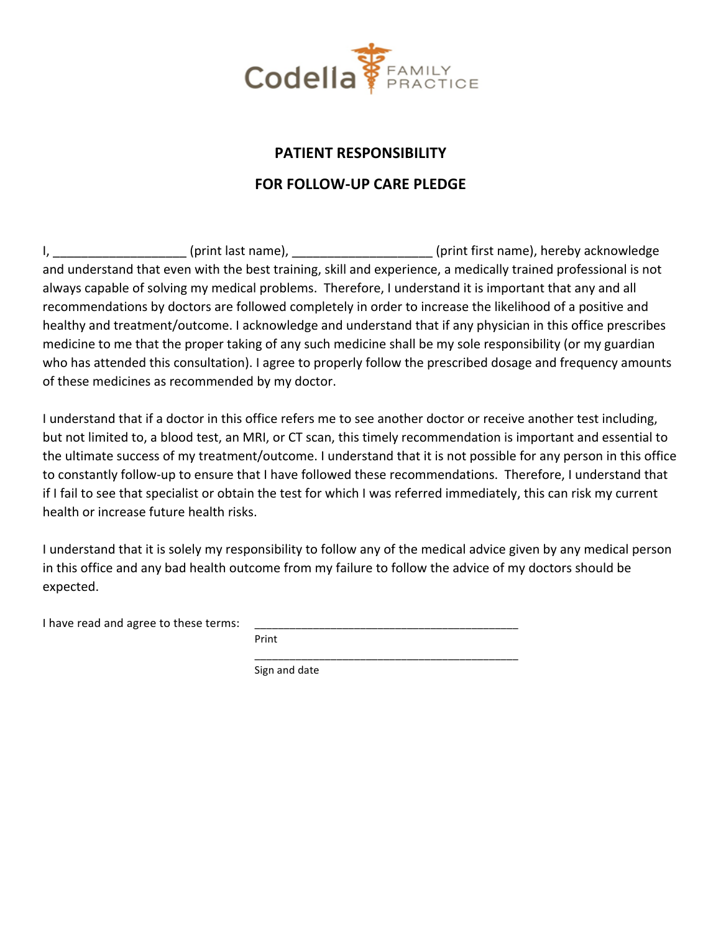

## **PATIENT RESPONSIBILITY**

## **FOR FOLLOW-UP CARE PLEDGE**

I, \_\_\_\_\_\_\_\_\_\_\_\_\_\_\_\_\_\_\_\_\_(print last name), \_\_\_\_\_\_\_\_\_\_\_\_\_\_\_\_\_\_\_\_\_\_\_(print first name), hereby acknowledge and understand that even with the best training, skill and experience, a medically trained professional is not always capable of solving my medical problems. Therefore, I understand it is important that any and all recommendations by doctors are followed completely in order to increase the likelihood of a positive and healthy and treatment/outcome. I acknowledge and understand that if any physician in this office prescribes medicine to me that the proper taking of any such medicine shall be my sole responsibility (or my guardian who has attended this consultation). I agree to properly follow the prescribed dosage and frequency amounts of these medicines as recommended by my doctor.

I understand that if a doctor in this office refers me to see another doctor or receive another test including, but not limited to, a blood test, an MRI, or CT scan, this timely recommendation is important and essential to the ultimate success of my treatment/outcome. I understand that it is not possible for any person in this office to constantly follow-up to ensure that I have followed these recommendations. Therefore, I understand that if I fail to see that specialist or obtain the test for which I was referred immediately, this can risk my current health or increase future health risks.

I understand that it is solely my responsibility to follow any of the medical advice given by any medical person in this office and any bad health outcome from my failure to follow the advice of my doctors should be expected.

I have read and agree to these terms:

Print

\_\_\_\_\_\_\_\_\_\_\_\_\_\_\_\_\_\_\_\_\_\_\_\_\_\_\_\_\_\_\_\_\_\_\_\_\_\_\_\_\_\_\_\_\_ Sign and date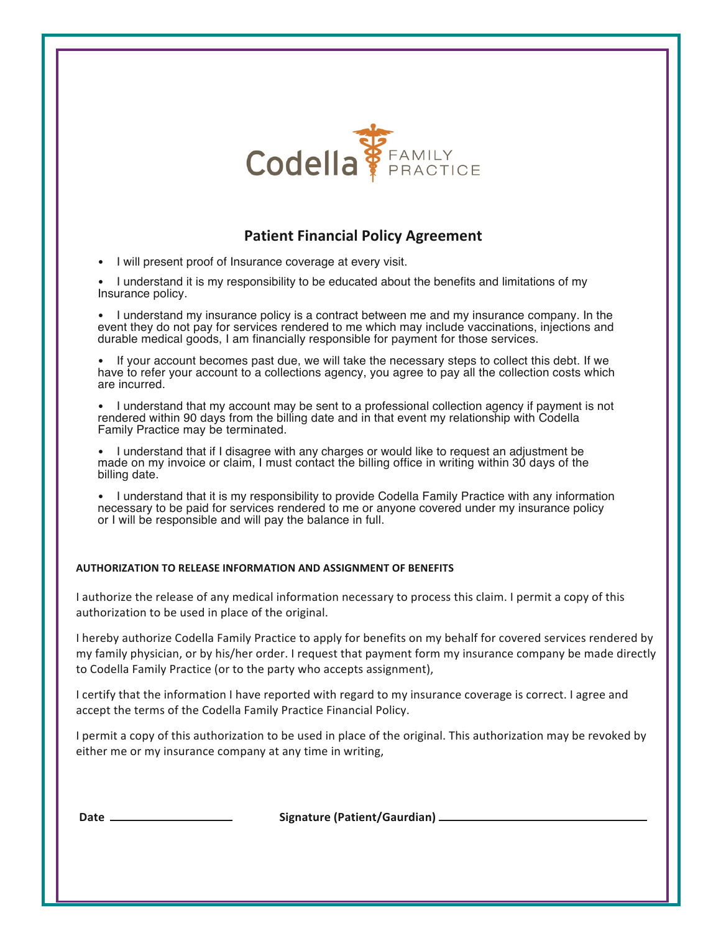

## **Patient Financial Policy Agreement**

• I will present proof of Insurance coverage at every visit.

• I understand it is my responsibility to be educated about the benefits and limitations of my Insurance policy.

• I understand my insurance policy is a contract between me and my insurance company. In the event they do not pay for services rendered to me which may include vaccinations, injections and durable medical goods, I am financially responsible for payment for those services.

• If your account becomes past due, we will take the necessary steps to collect this debt. If we have to refer your account to a collections agency, you agree to pay all the collection costs which are incurred.

• I understand that my account may be sent to a professional collection agency if payment is not rendered within 90 days from the billing date and in that event my relationship with Codella Family Practice may be terminated.

• I understand that if I disagree with any charges or would like to request an adjustment be made on my invoice or claim, I must contact the billing office in writing within 30 days of the billing date.

• I understand that it is my responsibility to provide Codella Family Practice with any information necessary to be paid for services rendered to me or anyone covered under my insurance policy or I will be responsible and will pay the balance in full.

#### **AUTHORIZATION TO RELEASE INFORMATION AND ASSIGNMENT OF BENEFITS**

I authorize the release of any medical information necessary to process this claim. I permit a copy of this authorization to be used in place of the original.

I hereby authorize Codella Family Practice to apply for benefits on my behalf for covered services rendered by my family physician, or by his/her order. I request that payment form my insurance company be made directly to Codella Family Practice (or to the party who accepts assignment),

I certify that the information I have reported with regard to my insurance coverage is correct. I agree and accept the terms of the Codella Family Practice Financial Policy.

I permit a copy of this authorization to be used in place of the original. This authorization may be revoked by either me or my insurance company at any time in writing,

Date **Signature (Patient/Gaurdian) Signature** (Patient/Gaurdian)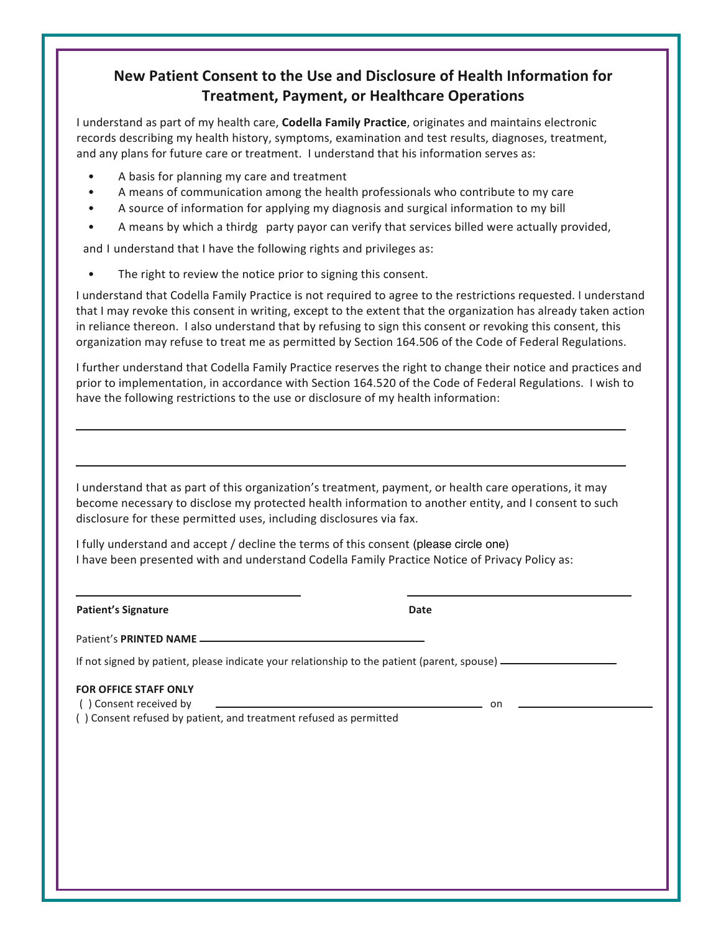# **New Patient Consent to the Use and Disclosure of Health Information for Treatment, Payment, or Healthcare Operations**

I understand as part of my health care, **Codella Family Practice**, originates and maintains electronic records describing my health history, symptoms, examination and test results, diagnoses, treatment, and any plans for future care or treatment. I understand that his information serves as:

- A basis for planning my care and treatment
- A means of communication among the health professionals who contribute to my care
- A source of information for applying my diagnosis and surgical information to my bill
- A means by which a thirdg party payor can verify that services billed were actually provided,

and I understand that I have the following rights and privileges as:

The right to review the notice prior to signing this consent.

I understand that Codella Family Practice is not required to agree to the restrictions requested. I understand that I may revoke this consent in writing, except to the extent that the organization has already taken action in reliance thereon. I also understand that by refusing to sign this consent or revoking this consent, this organization may refuse to treat me as permitted by Section 164.506 of the Code of Federal Regulations.

I further understand that Codella Family Practice reserves the right to change their notice and practices and prior to implementation, in accordance with Section 164.520 of the Code of Federal Regulations. I wish to have the following restrictions to the use or disclosure of my health information:

I understand that as part of this organization's treatment, payment, or health care operations, it may become necessary to disclose my protected health information to another entity, and I consent to such disclosure for these permitted uses, including disclosures via fax.

I fully understand and accept / decline the terms of this consent (please circle one) I have been presented with and understand Codella Family Practice Notice of Privacy Policy as:

| <b>Patient's Signature</b> | Date |
|----------------------------|------|
|----------------------------|------|

| Patient's PRINTED NAME - |  |
|--------------------------|--|
|                          |  |

If not signed by patient, please indicate your relationship to the patient (parent, spouse).

#### **FOR OFFICE STAFF ONLY**

() Consent received by  $\qquad \qquad \qquad$  on

() Consent refused by patient, and treatment refused as permitted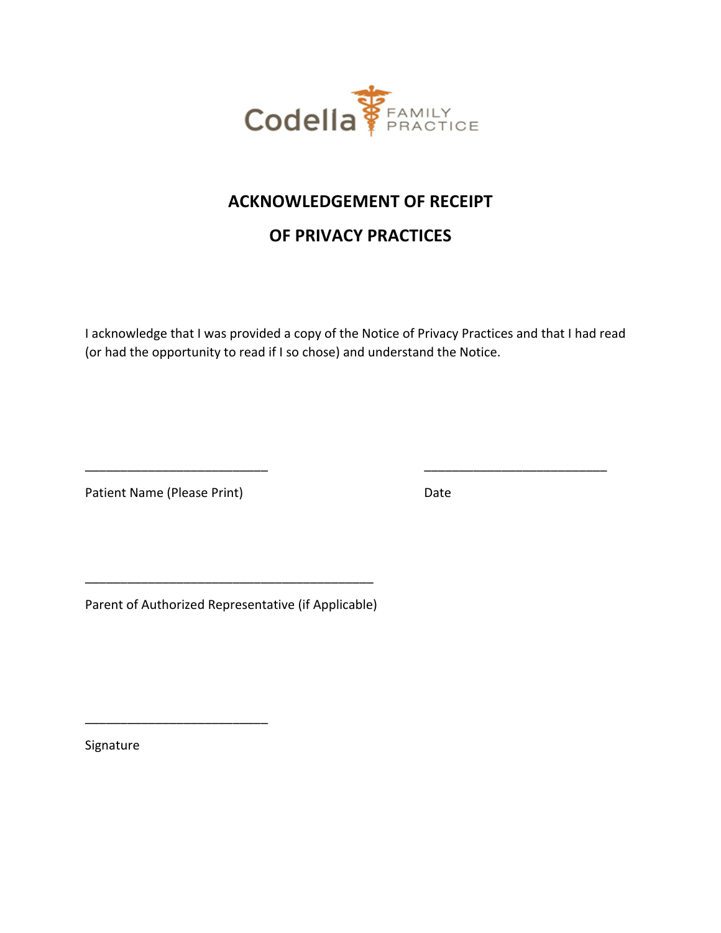

# **ACKNOWLEDGEMENT OF RECEIPT**

# **OF PRIVACY PRACTICES**

I acknowledge that I was provided a copy of the Notice of Privacy Practices and that I had read (or had the opportunity to read if I so chose) and understand the Notice.

\_\_\_\_\_\_\_\_\_\_\_\_\_\_\_\_\_\_\_\_\_\_\_\_\_\_ \_\_\_\_\_\_\_\_\_\_\_\_\_\_\_\_\_\_\_\_\_\_\_\_\_\_

Patient Name (Please Print) Date

\_\_\_\_\_\_\_\_\_\_\_\_\_\_\_\_\_\_\_\_\_\_\_\_\_\_ 

Parent of Authorized Representative (if Applicable)

\_\_\_\_\_\_\_\_\_\_\_\_\_\_\_\_\_\_\_\_\_\_\_\_\_\_\_\_\_\_\_\_\_\_\_\_\_\_\_\_\_

Signature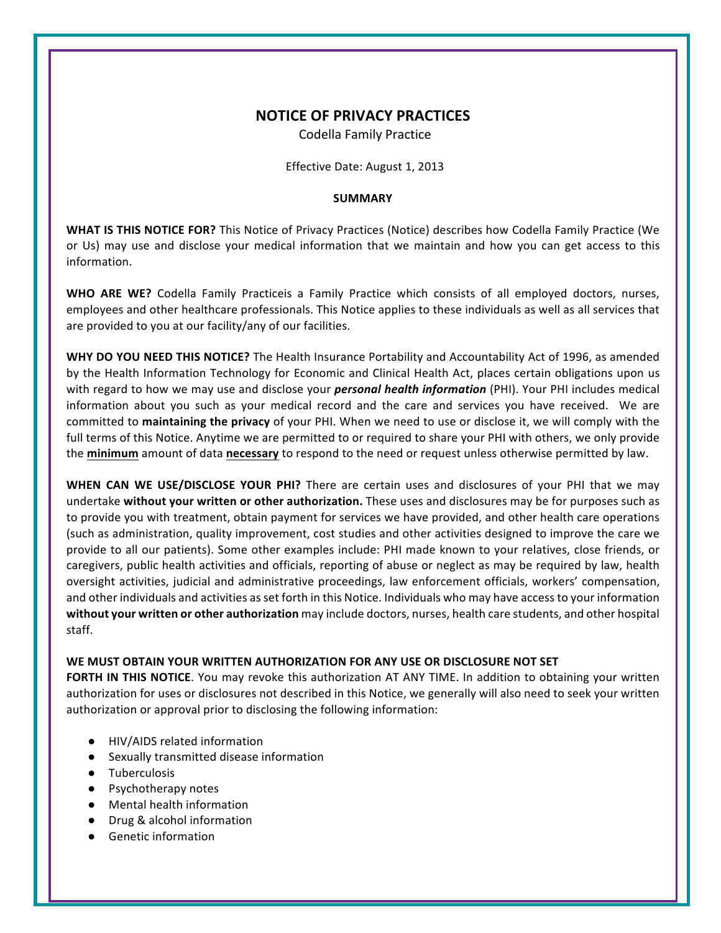#### **NOTICE OF PRIVACY PRACTICES**

Codella Family Practice

Effective Date: August 1, 2013

#### **SUMMARY**

**WHAT IS THIS NOTICE FOR?** This Notice of Privacy Practices (Notice) describes how Codella Family Practice (We or Us) may use and disclose your medical information that we maintain and how you can get access to this information. 

WHO ARE WE? Codella Family Practiceis a Family Practice which consists of all employed doctors, nurses, employees and other healthcare professionals. This Notice applies to these individuals as well as all services that are provided to you at our facility/any of our facilities.

**WHY DO YOU NEED THIS NOTICE?** The Health Insurance Portability and Accountability Act of 1996, as amended by the Health Information Technology for Economic and Clinical Health Act, places certain obligations upon us with regard to how we may use and disclose your *personal health information* (PHI). Your PHI includes medical information about you such as your medical record and the care and services you have received. We are committed to **maintaining the privacy** of your PHI. When we need to use or disclose it, we will comply with the full terms of this Notice. Anytime we are permitted to or required to share your PHI with others, we only provide the **minimum** amount of data **necessary** to respond to the need or request unless otherwise permitted by law.

**WHEN CAN WE USE/DISCLOSE YOUR PHI?** There are certain uses and disclosures of your PHI that we may undertake **without your written or other authorization.** These uses and disclosures may be for purposes such as to provide you with treatment, obtain payment for services we have provided, and other health care operations (such as administration, quality improvement, cost studies and other activities designed to improve the care we provide to all our patients). Some other examples include: PHI made known to your relatives, close friends, or caregivers, public health activities and officials, reporting of abuse or neglect as may be required by law, health oversight activities, judicial and administrative proceedings, law enforcement officials, workers' compensation, and other individuals and activities as set forth in this Notice. Individuals who may have access to your information without your written or other authorization may include doctors, nurses, health care students, and other hospital staff. 

#### WE MUST OBTAIN YOUR WRITTEN AUTHORIZATION FOR ANY USE OR DISCLOSURE NOT SET

**FORTH IN THIS NOTICE**. You may revoke this authorization AT ANY TIME. In addition to obtaining your written authorization for uses or disclosures not described in this Notice, we generally will also need to seek your written authorization or approval prior to disclosing the following information:

- HIV/AIDS related information
- Sexually transmitted disease information
- Tuberculosis
- Psychotherapy notes
- Mental health information
- Drug & alcohol information
- Genetic information